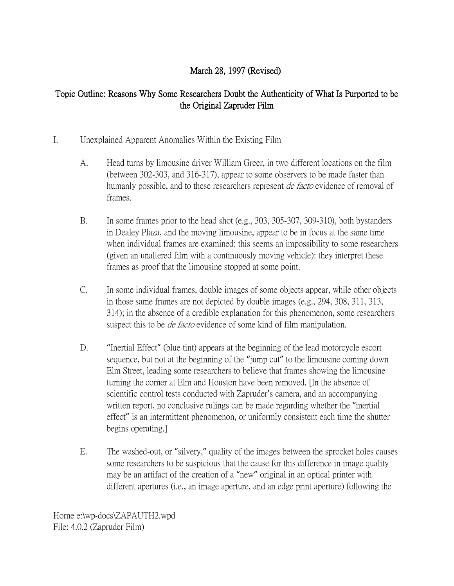## March 28, 1997 (Revised)

## Topic Outline: Reasons Why Some Researchers Doubt the Authenticity of What Is Purported to be the Original Zapruder Film

## I. Unexplained Apparent Anomalies Within the Existing Film

- A. Head turns by limousine driver William Greer, in two different locations on the film (between 302-303, and 316-317), appear to some observers to be made faster than humanly possible, and to these researchers represent *de facto* evidence of removal of frames.
- B. In some frames prior to the head shot (e.g., 303, 305-307, 309-310), both bystanders in Dealey Plaza, and the moving limousine, appear to be in focus at the same time when individual frames are examined: this seems an impossibility to some researchers (given an unaltered film with a continuously moving vehicle): they interpret these frames as proof that the limousine stopped at some point.
- C. In some individual frames, double images of some objects appear, while other objects in those same frames are not depicted by double images (e.g., 294, 308, 311, 313, 314); in the absence of a credible explanation for this phenomenon, some researchers suspect this to be *de facto* evidence of some kind of film manipulation.
- D. "Inertial Effect" (blue tint) appears at the beginning of the lead motorcycle escort sequence, but not at the beginning of the "jump cut" to the limousine coming down Elm Street, leading some researchers to believe that frames showing the limousine turning the corner at Elm and Houston have been removed. [In the absence of scientific control tests conducted with Zapruder's camera, and an accompanying written report, no conclusive rulings can be made regarding whether the "inertial" effect" is an intermittent phenomenon, or uniformly consistent each time the shutter begins operating.]
- E. The washed-out, or "silvery," quality of the images between the sprocket holes causes some researchers to be suspicious that the cause for this difference in image quality may be an artifact of the creation of a "new" original in an optical printer with different apertures (i.e., an image aperture, and an edge print aperture) following the

Horne e:\wp-docs\ZAPAUTH2.wpd File: 4.0.2 (Zapruder Film)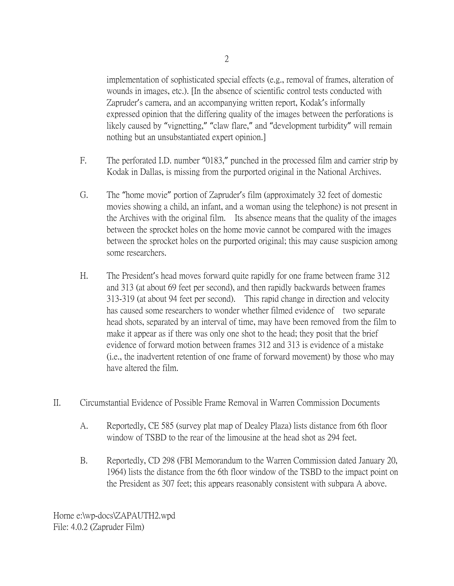implementation of sophisticated special effects (e.g., removal of frames, alteration of wounds in images, etc.). [In the absence of scientific control tests conducted with Zapruder's camera, and an accompanying written report, Kodak's informally expressed opinion that the differing quality of the images between the perforations is likely caused by "vignetting," "claw flare," and "development turbidity" will remain nothing but an unsubstantiated expert opinion.]

- F. The perforated I.D. number "0183," punched in the processed film and carrier strip by Kodak in Dallas, is missing from the purported original in the National Archives.
- G. The "home movie" portion of Zapruder's film (approximately 32 feet of domestic movies showing a child, an infant, and a woman using the telephone) is not present in the Archives with the original film. Its absence means that the quality of the images between the sprocket holes on the home movie cannot be compared with the images between the sprocket holes on the purported original; this may cause suspicion among some researchers.
- H. The President's head moves forward quite rapidly for one frame between frame 312 and 313 (at about 69 feet per second), and then rapidly backwards between frames 313-319 (at about 94 feet per second). This rapid change in direction and velocity has caused some researchers to wonder whether filmed evidence of two separate head shots, separated by an interval of time, may have been removed from the film to make it appear as if there was only one shot to the head; they posit that the brief evidence of forward motion between frames 312 and 313 is evidence of a mistake (i.e., the inadvertent retention of one frame of forward movement) by those who may have altered the film.
- II. Circumstantial Evidence of Possible Frame Removal in Warren Commission Documents
	- A. Reportedly, CE 585 (survey plat map of Dealey Plaza) lists distance from 6th floor window of TSBD to the rear of the limousine at the head shot as 294 feet.
	- B. Reportedly, CD 298 (FBI Memorandum to the Warren Commission dated January 20, 1964) lists the distance from the 6th floor window of the TSBD to the impact point on the President as 307 feet; this appears reasonably consistent with subpara A above.

Horne e:\wp-docs\ZAPAUTH2.wpd File: 4.0.2 (Zapruder Film)